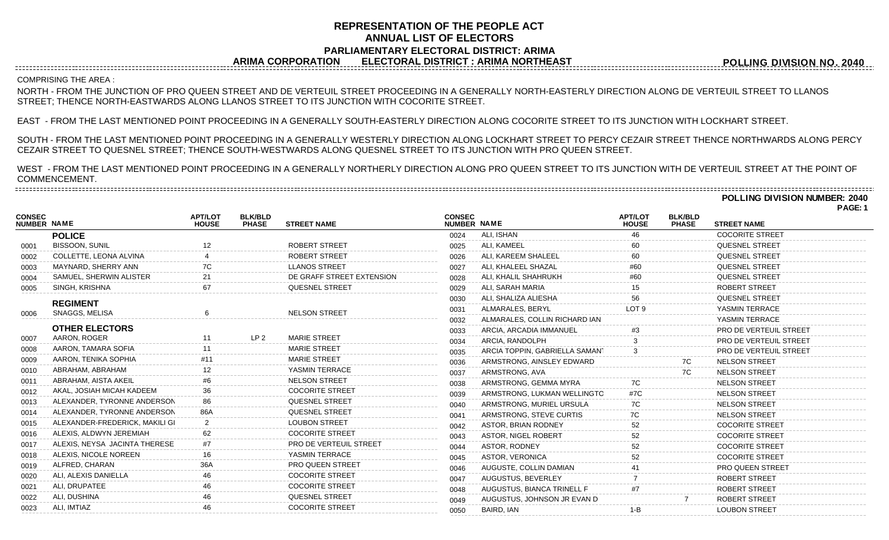## **REPRESENTATION OF THE PEOPLE ACT ANNUAL LIST OF ELECTORS PARLIAMENTARY ELECTORAL DISTRICT: ARIMA ARIMA CORPORATION ELECTORAL DISTRICT : ARIMA NORTHEAST**

**POLLING DIVISION NO. 2040**

#### COMPRISING THE AREA :

NORTH - FROM THE JUNCTION OF PRO QUEEN STREET AND DE VERTEUIL STREET PROCEEDING IN A GENERALLY NORTH-EASTERLY DIRECTION ALONG DE VERTEUIL STREET TO LLANOS STREET; THENCE NORTH-EASTWARDS ALONG LLANOS STREET TO ITS JUNCTION WITH COCORITE STREET.

EAST - FROM THE LAST MENTIONED POINT PROCEEDING IN A GENERALLY SOUTH-EASTERLY DIRECTION ALONG COCORITE STREET TO ITS JUNCTION WITH LOCKHART STREET.

SOUTH - FROM THE LAST MENTIONED POINT PROCEEDING IN A GENERALLY WESTERLY DIRECTION ALONG LOCKHART STREET TO PERCY CEZAIR STREET THENCE NORTHWARDS ALONG PERCY CEZAIR STREET TO QUESNEL STREET; THENCE SOUTH-WESTWARDS ALONG QUESNEL STREET TO ITS JUNCTION WITH PRO QUEEN STREET.

WEST - FROM THE LAST MENTIONED POINT PROCEEDING IN A GENERALLY NORTHERLY DIRECTION ALONG PRO QUEEN STREET TO ITS JUNCTION WITH DE VERTEUIL STREET AT THE POINT OF COMMENCEMENT. 

| <b>CONSEC</b><br><b>NUMBER NAME</b> |                                | <b>APT/LOT</b><br><b>HOUSE</b> | <b>BLK/BLD</b><br><b>PHASE</b> | <b>STREET NAME</b>        | <b>CONSEC</b><br>NUMBER NAME |                                | <b>APT/LOT</b><br><b>HOUSE</b> | <b>BLK/BLD</b><br><b>PHASE</b> | <b>STREET NAME</b>     |
|-------------------------------------|--------------------------------|--------------------------------|--------------------------------|---------------------------|------------------------------|--------------------------------|--------------------------------|--------------------------------|------------------------|
|                                     | <b>POLICE</b>                  |                                |                                |                           | 0024                         | ALI, ISHAN                     |                                |                                | <b>COCORITE STREET</b> |
| 0001                                | <b>BISSOON, SUNIL</b>          |                                |                                | <b>ROBERT STREET</b>      | 0025                         | ALI, KAMEEL                    |                                |                                | QUESNEL STREET         |
| 0002                                | COLLETTE, LEONA ALVINA         |                                |                                | ROBERT STREET             | 0026                         | ALI, KAREEM SHALEEL            |                                |                                | <b>QUESNEL STREET</b>  |
| 0003                                | MAYNARD, SHERRY ANN            |                                |                                | <b>LLANOS STREET</b>      | 0027                         | ALI, KHALEEL SHAZAL            |                                |                                | <b>QUESNEL STREET</b>  |
| 0004                                | SAMUEL, SHERWIN ALISTER        |                                |                                | DE GRAFF STREET EXTENSION | 0028                         | ALI, KHALIL SHAHRUKH           |                                |                                | <b>QUESNEL STREET</b>  |
| 0005                                | SINGH, KRISHNA                 |                                |                                | <b>QUESNEL STREET</b>     | 0029                         | ALI, SARAH MARIA               |                                |                                | <b>ROBERT STREET</b>   |
|                                     | <b>REGIMENT</b>                |                                |                                |                           | 0030                         | ALI, SHALIZA ALIESHA           |                                |                                | <b>QUESNEL STREET</b>  |
| 0006                                | SNAGGS, MELISA                 |                                |                                | <b>NELSON STREET</b>      | 0031                         | ALMARALES, BERYL               | LOT <sub>9</sub>               |                                | YASMIN TERRACE         |
|                                     |                                |                                |                                |                           | 0032                         | ALMARALES, COLLIN RICHARD IAN  |                                |                                | YASMIN TERRACE         |
|                                     | <b>OTHER ELECTORS</b>          |                                |                                |                           | 0033                         | ARCIA, ARCADIA IMMANUEL        |                                |                                | PRO DE VERTEUIL STREET |
| 0007                                | AARON, ROGER                   |                                | LP <sub>2</sub>                | <b>MARIE STREET</b>       | 0034                         | ARCIA, RANDOLPH                |                                |                                | PRO DE VERTEUIL STREET |
| 0008                                | AARON, TAMARA SOFIA            |                                |                                | <b>MARIE STREET</b>       | 0035                         | ARCIA TOPPIN, GABRIELLA SAMAN1 |                                |                                | PRO DE VERTEUIL STREET |
| 0009                                | AARON, TENIKA SOPHIA           |                                |                                | <b>MARIE STREET</b>       | 0036                         | ARMSTRONG, AINSLEY EDWARD      |                                | 7C                             | <b>NELSON STREET</b>   |
| 0010                                | ABRAHAM, ABRAHAM               |                                |                                | YASMIN TERRACE            | 0037                         | ARMSTRONG, AVA                 |                                |                                | <b>NELSON STREET</b>   |
| 0011                                | ABRAHAM, AISTA AKEIL           |                                |                                | <b>NELSON STREET</b>      | 0038                         | ARMSTRONG, GEMMA MYRA          |                                |                                | <b>NELSON STREET</b>   |
| 0012                                | AKAL, JOSIAH MICAH KADEEM      |                                |                                | <b>COCORITE STREET</b>    | 0039                         | ARMSTRONG, LUKMAN WELLINGTO    | #7C                            |                                | <b>NELSON STREET</b>   |
| 0013                                | ALEXANDER, TYRONNE ANDERSON    |                                |                                | <b>QUESNEL STREET</b>     | 0040                         | ARMSTRONG, MURIEL URSULA       |                                |                                | <b>NELSON STREET</b>   |
| 0014                                | ALEXANDER, TYRONNE ANDERSON    |                                |                                | <b>QUESNEL STREET</b>     | 0041                         | ARMSTRONG, STEVE CURTIS        | 7C                             |                                | <b>NELSON STREET</b>   |
| 0015                                | ALEXANDER-FREDERICK, MAKILI GI |                                |                                | <b>LOUBON STREET</b>      | 0042                         | ASTOR, BRIAN RODNEY            |                                |                                | <b>COCORITE STREET</b> |
| 0016                                | ALEXIS, ALDWYN JEREMIAH        |                                |                                | <b>COCORITE STREET</b>    | 0043                         | ASTOR, NIGEL ROBERT            |                                |                                | <b>COCORITE STREET</b> |
| 0017                                | ALEXIS, NEYSA JACINTA THERESE  |                                |                                | PRO DE VERTEUIL STREET    | 0044                         | ASTOR, RODNEY                  | 52                             |                                | <b>COCORITE STREET</b> |
| 0018                                | ALEXIS, NICOLE NOREEN          |                                |                                | YASMIN TERRACE            | 0045                         | ASTOR, VERONICA                |                                |                                | <b>COCORITE STREET</b> |
| 0019                                | ALFRED, CHARAN                 |                                |                                | <b>PRO QUEEN STREET</b>   | 0046                         | AUGUSTE, COLLIN DAMIAN         |                                |                                | PRO QUEEN STREET       |
| 0020                                | ALI, ALEXIS DANIELLA           |                                |                                | <b>COCORITE STREET</b>    | 0047                         | AUGUSTUS, BEVERLEY             |                                |                                | ROBERT STREET          |
| 0021                                | ALI, DRUPATEE                  |                                |                                | <b>COCORITE STREET</b>    | 0048                         | AUGUSTUS, BIANCA TRINELL F     |                                |                                | <b>ROBERT STREET</b>   |
| 0022                                | ALI. DUSHINA                   |                                |                                | <b>QUESNEL STREET</b>     | 0049                         | AUGUSTUS, JOHNSON JR EVAN D    |                                |                                | <b>ROBERT STREET</b>   |
| 0023                                | ALI, IMTIAZ                    |                                |                                | <b>COCORITE STREET</b>    | 0050                         | BAIRD, IAN                     | $1 - B$                        |                                | <b>LOUBON STREET</b>   |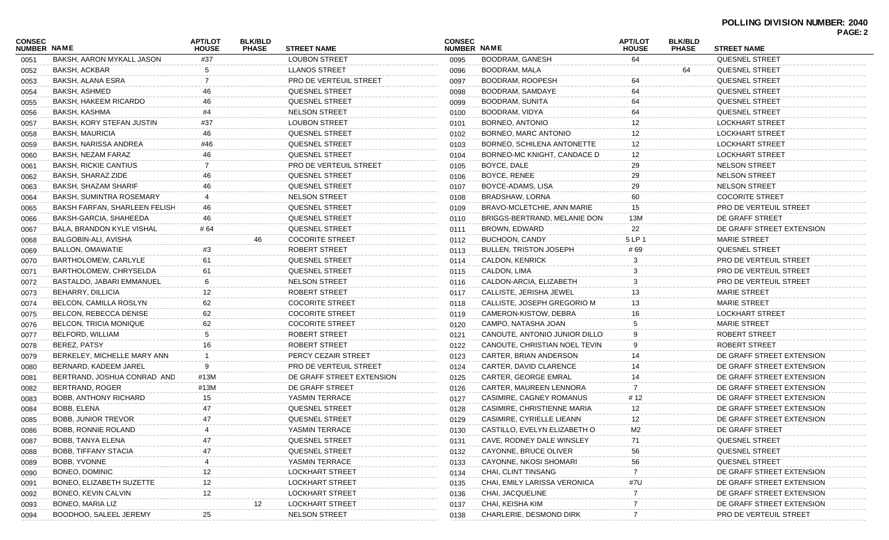|                              |                                  |                                |                                |                               |                              |                                |                                |                                | PAGE: 2                       |
|------------------------------|----------------------------------|--------------------------------|--------------------------------|-------------------------------|------------------------------|--------------------------------|--------------------------------|--------------------------------|-------------------------------|
| <b>CONSEC</b><br>NUMBER NAME |                                  | <b>APT/LOT</b><br><b>HOUSE</b> | <b>BLK/BLD</b><br><b>PHASE</b> | <b>STREET NAME</b>            | <b>CONSEC</b><br>NUMBER NAME |                                | <b>APT/LOT</b><br><b>HOUSE</b> | <b>BLK/BLD</b><br><b>PHASE</b> | <b>STREET NAME</b>            |
| 0051                         | BAKSH, AARON MYKALL JASON        | #37                            |                                | <b>LOUBON STREET</b>          | 0095                         | <b>BOODRAM, GANESH</b>         | 64                             |                                | <b>QUESNEL STREET</b>         |
| 0052                         | BAKSH, ACKBAR                    | 5                              |                                | <b>LLANOS STREET</b>          | 0096                         | <b>BOODRAM, MALA</b>           |                                | 64                             | <b>QUESNEL STREET</b>         |
| 0053                         | BAKSH, ALANA ESRA                |                                |                                | <b>PRO DE VERTEUIL STREET</b> | 0097                         | BOODRAM, ROOPESH               | 64                             |                                | <b>QUESNEL STREET</b>         |
| 0054                         | BAKSH, ASHMED                    |                                |                                | <b>QUESNEL STREET</b>         | 0098                         | BOODRAM, SAMDAYE               | 64                             |                                | <b>QUESNEL STREET</b>         |
| 0055                         | <b>BAKSH, HAKEEM RICARDO</b>     | 46                             |                                | <b>QUESNEL STREET</b>         | 0099                         | BOODRAM, SUNITA                | 64                             |                                | <b>QUESNEL STREET</b>         |
| 0056                         | BAKSH, KASHMA                    | #4                             |                                | <b>NELSON STREET</b>          | 0100                         | BOODRAM, VIDYA                 | 64                             |                                | <b>QUESNEL STREET</b>         |
| 0057                         | <b>BAKSH, KORY STEFAN JUSTIN</b> | #37                            |                                | <b>LOUBON STREET</b>          | 0101                         | BORNEO, ANTONIO                | 12                             |                                | <b>LOCKHART STREET</b>        |
| 0058                         | BAKSH, MAURICIA                  | 46                             |                                | <b>QUESNEL STREET</b>         | 0102                         | BORNEO, MARC ANTONIO           | 12                             |                                | <b>LOCKHART STREET</b>        |
| 0059                         | <b>BAKSH, NARISSA ANDREA</b>     | #46                            |                                | QUESNEL STREET                | 0103                         | BORNEO, SCHILENA ANTONETTE     | 12                             |                                | <b>LOCKHART STREET</b>        |
| 0060                         | BAKSH, NEZAM FARAZ               | 46                             |                                | <b>QUESNEL STREET</b>         | 0104                         | BORNEO-MC KNIGHT, CANDACE D    | 12                             |                                | <b>LOCKHART STREET</b>        |
| 0061                         | <b>BAKSH, RICKIE CANTIUS</b>     |                                |                                | <b>PRO DE VERTEUIL STREET</b> | 0105                         | BOYCE, DALE                    | 29                             |                                | <b>NELSON STREET</b>          |
| 0062                         | BAKSH, SHARAZ ZIDE               | 46                             |                                | <b>QUESNEL STREET</b>         | 0106                         | BOYCE, RENEE                   | 29                             |                                | <b>NELSON STREET</b>          |
| 0063                         | BAKSH, SHAZAM SHARIF             | 46                             |                                | <b>QUESNEL STREET</b>         | 0107                         | BOYCE-ADAMS, LISA              | 29                             |                                | <b>NELSON STREET</b>          |
| 0064                         | BAKSH, SUMINTRA ROSEMARY         |                                |                                | NELSON STREET                 | 0108                         | BRADSHAW, LORNA                | 60                             |                                | <b>COCORITE STREET</b>        |
| 0065                         | BAKSH FARFAN, SHARLEEN FELISH    | 46                             |                                | <b>QUESNEL STREET</b>         | 0109                         | BRAVO-MCLETCHIE, ANN MARIE     | 15                             |                                | <b>PRO DE VERTEUIL STREET</b> |
| 0066                         | BAKSH-GARCIA, SHAHEEDA           | 46                             |                                | <b>QUESNEL STREET</b>         | 0110                         | BRIGGS-BERTRAND, MELANIE DONI  | 13M                            |                                | DE GRAFF STREET               |
| 0067                         | <b>BALA, BRANDON KYLE VISHAL</b> | # 64                           |                                | <b>QUESNEL STREET</b>         | 0111                         | BROWN, EDWARD                  | 22                             |                                | DE GRAFF STREET EXTENSION     |
| 0068                         | BALGOBIN-ALI, AVISHA             |                                | 46                             | <b>COCORITE STREET</b>        | 0112                         | BUCHOON, CANDY                 | 5 LP 1                         |                                | <b>MARIE STREET</b>           |
| 0069                         | BALLON, OMAWATIE                 | #3                             |                                | ROBERT STREET                 | 0113                         | <b>BULLEN, TRISTON JOSEPH</b>  | #69                            |                                | <b>QUESNEL STREET</b>         |
| 0070                         | BARTHOLOMEW, CARLYLE             | 61                             |                                | <b>QUESNEL STREET</b>         | 0114                         | <b>CALDON, KENRICK</b>         | 3                              |                                | <b>PRO DE VERTEUIL STREET</b> |
| 0071                         | BARTHOLOMEW, CHRYSELDA           | 61                             |                                | <b>QUESNEL STREET</b>         | 0115                         | CALDON, LIMA                   |                                |                                | <b>PRO DE VERTEUIL STREET</b> |
| 0072                         | BASTALDO, JABARI EMMANUEL        | 6                              |                                | NELSON STREET                 | 0116                         | CALDON-ARCIA, ELIZABETH        | 3                              |                                | <b>PRO DE VERTEUIL STREET</b> |
| 0073                         | BEHARRY, DILLICIA                | 12                             |                                | ROBERT STREET                 | 0117                         | CALLISTE, JERISHA JEWEL        | 13                             |                                | <b>MARIE STREET</b>           |
| 0074                         | BELCON, CAMILLA ROSLYN           | 62                             |                                | <b>COCORITE STREET</b>        | 0118                         | CALLISTE, JOSEPH GREGORIO M    | 13                             |                                | <b>MARIE STREET</b>           |
| 0075                         | BELCON, REBECCA DENISE           | 62                             |                                | <b>COCORITE STREET</b>        | 0119                         | CAMERON-KISTOW, DEBRA          | 16                             |                                | <b>LOCKHART STREET</b>        |
| 0076                         | BELCON, TRICIA MONIQUE           | 62                             |                                | <b>COCORITE STREET</b>        | 0120                         | CAMPO, NATASHA JOAN            |                                |                                | <b>MARIE STREET</b>           |
| 0077                         | BELFORD, WILLIAM                 | 5                              |                                | ROBERT STREET                 | 0121                         | CANOUTE, ANTONIO JUNIOR DILLOI |                                |                                | ROBERT STREET                 |
| 0078                         | BEREZ, PATSY                     | 16                             |                                | ROBERT STREET                 | 0122                         | CANOUTE, CHRISTIAN NOEL TEVIN  | 9                              |                                | ROBERT STREET                 |
| 0079                         | BERKELEY, MICHELLE MARY ANN      |                                |                                | PERCY CEZAIR STREET           | 0123                         | CARTER, BRIAN ANDERSON         | 14                             |                                | DE GRAFF STREET EXTENSION     |
| 0080                         | BERNARD, KADEEM JAREL            | 9                              |                                | <b>PRO DE VERTEUIL STREET</b> | 0124                         | CARTER, DAVID CLARENCE         | 14                             |                                | DE GRAFF STREET EXTENSION     |
|                              | BERTRAND, JOSHUA CONRAD AND      | #13M                           |                                | DE GRAFF STREET EXTENSION     | 0125                         | <b>CARTER, GEORGE EMRAL</b>    | 14                             |                                | DE GRAFF STREET EXTENSION     |
| 0081                         | BERTRAND, ROGER                  | #13M                           |                                | DE GRAFF STREET               |                              | CARTER, MAUREEN LENNORA        | 7                              |                                | DE GRAFF STREET EXTENSION     |
| 0082                         | <b>BOBB, ANTHONY RICHARD</b>     | 15                             |                                | YASMIN TERRACE                | 0126                         | CASIMIRE, CAGNEY ROMANUS       | # 12                           |                                | DE GRAFF STREET EXTENSION     |
| 0083                         | BOBB, ELENA                      | 47                             |                                | <b>QUESNEL STREET</b>         | 0127                         | CASIMIRE, CHRISTIENNE MARIA    | 12                             |                                | DE GRAFF STREET EXTENSION     |
| 0084                         |                                  |                                |                                |                               | 0128                         |                                |                                |                                | DE GRAFF STREET EXTENSION     |
| 0085                         | <b>BOBB, JUNIOR TREVOR</b>       | 47                             |                                | QUESNEL STREET                | 0129                         | CASIMIRE, CYRIELLE LIEANN      | 12                             |                                |                               |
| 0086                         | <b>BOBB, RONNIE ROLAND</b>       |                                |                                | YASMIN TERRACE                | 0130                         | CASTILLO, EVELYN ELIZABETH O   | M2                             |                                | DE GRAFF STREET               |
| 0087                         | BOBB, TANYA ELENA                |                                |                                | QUESNEL STREET                | 0131                         | CAVE, RODNEY DALE WINSLEY      | 71                             |                                | QUESNEL STREET                |
| 0088                         | BOBB, TIFFANY STACIA             | 47                             |                                | QUESNEL STREET                | 0132                         | CAYONNE, BRUCE OLIVER          | 56                             |                                | QUESNEL STREET                |
| 0089                         | BOBB, YVONNE                     |                                |                                | YASMIN TERRACE                | 0133                         | CAYONNE, NKOSI SHOMARI         | 56                             |                                | QUESNEL STREET                |
| 0090                         | BONEO, DOMINIC                   |                                |                                | <b>LOCKHART STREET</b>        | 0134                         | CHAI, CLINT TINSANG            |                                |                                | DE GRAFF STREET EXTENSION     |
| 0091                         | BONEO, ELIZABETH SUZETTE         | 12                             |                                | LOCKHART STREET               | 0135                         | CHAI, EMILY LARISSA VERONICA   | #7U                            |                                | DE GRAFF STREET EXTENSION     |
| 0092                         | BONEO, KEVIN CALVIN              | 12                             |                                | <b>LOCKHART STREET</b>        | 0136                         | CHAI, JACQUELINE               |                                |                                | DE GRAFF STREET EXTENSION     |
| 0093                         | <b>BONEO, MARIA LIZ</b>          |                                | 12                             | <b>LOCKHART STREET</b>        | 0137                         | CHAI, KEISHA KIM               |                                |                                | DE GRAFF STREET EXTENSION     |
| 0094                         | BOODHOO, SALEEL JEREMY           | 25                             |                                | <b>NELSON STREET</b>          | 0138                         | CHARLERIE, DESMOND DIRK        | 7                              |                                | PRO DE VERTEUIL STREET        |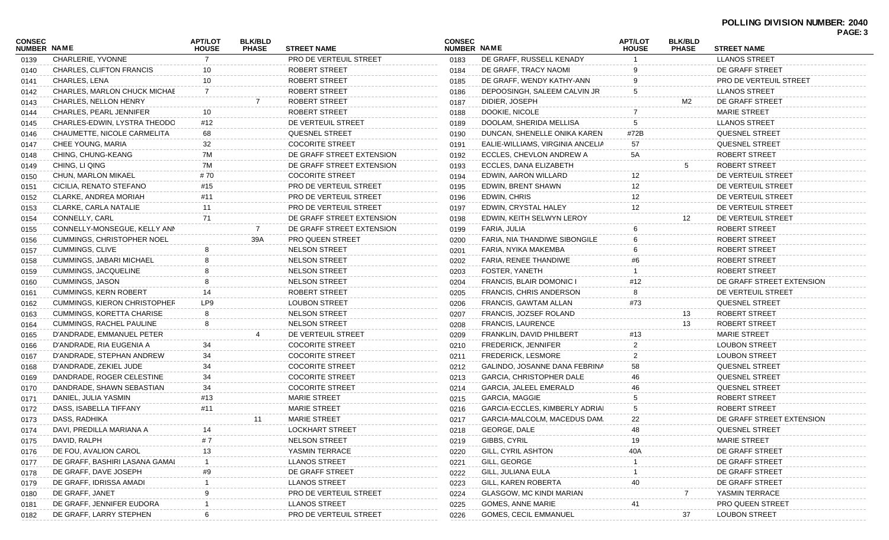| CONSEC<br><b>NUMBER NAME</b> |                                     | <b>APT/LOT</b><br><b>HOUSE</b> | <b>BLK/BLD</b><br><b>PHASE</b> | <b>STREET NAME</b>            | <b>CONSEC</b><br><b>NUMBER NAME</b> |                                  | <b>APT/LOT</b><br><b>HOUSE</b> | <b>BLK/BLD</b><br><b>PHASE</b> | <b>STREET NAME</b>            | PAGE: 3 |
|------------------------------|-------------------------------------|--------------------------------|--------------------------------|-------------------------------|-------------------------------------|----------------------------------|--------------------------------|--------------------------------|-------------------------------|---------|
| 0139                         | CHARLERIE, YVONNE                   |                                |                                | PRO DE VERTEUIL STREET        | 0183                                | DE GRAFF, RUSSELL KENADY         |                                |                                | <b>LLANOS STREET</b>          |         |
| 0140                         | CHARLES, CLIFTON FRANCIS            | 10                             |                                | ROBERT STREET                 | 0184                                | DE GRAFF, TRACY NAOMI            |                                |                                | DE GRAFF STREET               |         |
| 0141                         | CHARLES, LENA                       | 10                             |                                | ROBERT STREET                 | 0185                                | DE GRAFF, WENDY KATHY-ANN        | 9                              |                                | <b>PRO DE VERTEUIL STREET</b> |         |
| 0142                         | CHARLES, MARLON CHUCK MICHAE        |                                |                                | ROBERT STREET                 | 0186                                | DEPOOSINGH, SALEEM CALVIN JR     | 5                              |                                | <b>LLANOS STREET</b>          |         |
| 0143                         | CHARLES, NELLON HENRY               |                                |                                | ROBERT STREET                 | 0187                                | DIDIER, JOSEPH                   |                                | M2                             | DE GRAFF STREET               |         |
| 0144                         | CHARLES, PEARL JENNIFER             | 10                             |                                | ROBERT STREET                 | 0188                                | DOOKIE, NICOLE                   |                                |                                | <b>MARIE STREET</b>           |         |
| 0145                         | CHARLES-EDWIN, LYSTRA THEODO        | #12                            |                                | DE VERTEUIL STREET            | 0189                                | DOOLAM, SHERIDA MELLISA          | 5                              |                                | <b>LLANOS STREET</b>          |         |
| 0146                         | CHAUMETTE, NICOLE CARMELITA         | 68                             |                                | QUESNEL STREET                | 0190                                | DUNCAN, SHENELLE ONIKA KAREN     | #72B                           |                                | QUESNEL STREET                |         |
| 0147                         | CHEE YOUNG, MARIA                   | 32                             |                                | <b>COCORITE STREET</b>        | 0191                                | EALIE-WILLIAMS, VIRGINIA ANCELIA | 57                             |                                | QUESNEL STREET                |         |
| 0148                         | CHING, CHUNG-KEANG                  | 7M                             |                                | DE GRAFF STREET EXTENSION     | 0192                                | ECCLES, CHEVLON ANDREW A         | 5A                             |                                | ROBERT STREET                 |         |
| 0149                         | CHING, LI QING                      | 7M                             |                                | DE GRAFF STREET EXTENSION     | 0193                                | ECCLES, DANA ELIZABETH           |                                | 5                              | ROBERT STREET                 |         |
| 0150                         | CHUN, MARLON MIKAEL                 | #70                            |                                | <b>COCORITE STREET</b>        | 0194                                | EDWIN, AARON WILLARD             | 12                             |                                | DE VERTEUIL STREET            |         |
| 0151                         | CICILIA, RENATO STEFANO             | #15                            |                                | <b>PRO DE VERTEUIL STREET</b> | 0195                                | EDWIN, BRENT SHAWN               | 12                             |                                | DE VERTEUIL STREET            |         |
| 0152                         | CLARKE, ANDREA MORIAH               | #11                            |                                | <b>PRO DE VERTEUIL STREET</b> | 0196                                | EDWIN, CHRIS                     | 12                             |                                | DE VERTEUIL STREET            |         |
| 0153                         | CLARKE, CARLA NATALIE               | 11                             |                                | PRO DE VERTEUIL STREET        | 0197                                | EDWIN, CRYSTAL HALEY             | 12                             |                                | DE VERTEUIL STREET            |         |
| 0154                         | CONNELLY, CARL                      | 71                             |                                | DE GRAFF STREET EXTENSION     | 0198                                | EDWIN, KEITH SELWYN LEROY        |                                | 12                             | DE VERTEUIL STREET            |         |
| 0155                         | CONNELLY-MONSEGUE, KELLY ANN        |                                |                                | DE GRAFF STREET EXTENSION     | 0199                                | FARIA, JULIA                     |                                |                                | <b>ROBERT STREET</b>          |         |
| 0156                         | <b>CUMMINGS, CHRISTOPHER NOEL</b>   |                                | 39A                            | <b>PRO QUEEN STREET</b>       | 0200                                | FARIA, NIA THANDIWE SIBONGILE    |                                |                                | ROBERT STREET                 |         |
| 0157                         | <b>CUMMINGS, CLIVE</b>              |                                |                                | <b>NELSON STREET</b>          | 0201                                | FARIA, NYIKA MAKEMBA             |                                |                                | ROBERT STREET                 |         |
| 0158                         | CUMMINGS, JABARI MICHAEL            |                                |                                | <b>NELSON STREET</b>          | 0202                                | FARIA, RENEE THANDIWE            |                                |                                | ROBERT STREET                 |         |
| 0159                         | <b>CUMMINGS, JACQUELINE</b>         |                                |                                | <b>NELSON STREET</b>          | 0203                                | FOSTER, YANETH                   |                                |                                | ROBERT STREET                 |         |
| 0160                         | CUMMINGS, JASON                     | 8                              |                                | <b>NELSON STREET</b>          | 0204                                | FRANCIS, BLAIR DOMONIC I         | #12                            |                                | DE GRAFF STREET EXTENSION     |         |
| 0161                         | <b>CUMMINGS, KERN ROBERT</b>        | 14                             |                                | ROBERT STREET                 | 0205                                | FRANCIS, CHRIS ANDERSON          | 8                              |                                | DE VERTEUIL STREET            |         |
| 0162                         | <b>CUMMINGS, KIERON CHRISTOPHER</b> | LP9                            |                                | <b>LOUBON STREET</b>          | 0206                                | FRANCIS, GAWTAM ALLAN            | #73                            |                                | QUESNEL STREET                |         |
| 0163                         | <b>CUMMINGS, KORETTA CHARISE</b>    | 8                              |                                | <b>NELSON STREET</b>          | 0207                                | FRANCIS, JOZSEF ROLAND           |                                | 13                             | <b>ROBERT STREET</b>          |         |
| 0164                         | <b>CUMMINGS, RACHEL PAULINE</b>     | 8                              |                                | <b>NELSON STREET</b>          | 0208                                | FRANCIS, LAURENCE                |                                | 13                             | ROBERT STREET                 |         |
| 0165                         | D'ANDRADE, EMMANUEL PETER           |                                |                                | DE VERTEUIL STREET            | 0209                                | FRANKLIN, DAVID PHILBERT         | #13                            |                                | <b>MARIE STREET</b>           |         |
| 0166                         | D'ANDRADE, RIA EUGENIA A            | 34                             |                                | <b>COCORITE STREET</b>        | 0210                                | FREDERICK, JENNIFER              |                                |                                | <b>LOUBON STREET</b>          |         |
| 0167                         | D'ANDRADE, STEPHAN ANDREW           | 34                             |                                | <b>COCORITE STREET</b>        | 0211                                | FREDERICK, LESMORE               |                                |                                | <b>LOUBON STREET</b>          |         |
| 0168                         | D'ANDRADE, ZEKIEL JUDE              | 34                             |                                | <b>COCORITE STREET</b>        | 0212                                | GALINDO, JOSANNE DANA FEBRINA    | 58                             |                                | QUESNEL STREET                |         |
| 0169                         | DANDRADE, ROGER CELESTINE           | 34                             |                                | <b>COCORITE STREET</b>        | 0213                                | GARCIA, CHRISTOPHER DALE         | 46                             |                                | QUESNEL STREET                |         |
| 0170                         | DANDRADE, SHAWN SEBASTIAN           | 34                             |                                | <b>COCORITE STREET</b>        | 0214                                | GARCIA, JALEEL EMERALD           | 46                             |                                | QUESNEL STREET                |         |
| 0171                         | DANIEL, JULIA YASMIN                | #13                            |                                | <b>MARIE STREET</b>           | 0215                                | GARCIA, MAGGIE                   | 5                              |                                | ROBERT STREET                 |         |
| 0172                         | DASS, ISABELLA TIFFANY              | #11                            |                                | <b>MARIE STREET</b>           | 0216                                | GARCIA-ECCLES, KIMBERLY ADRIAI   | 5                              |                                | ROBERT STREET                 |         |
| 0173                         | DASS, RADHIKA                       |                                | 11                             | <b>MARIE STREET</b>           | 0217                                | GARCIA-MALCOLM, MACEDUS DAM.     | 22                             |                                | DE GRAFF STREET EXTENSION     |         |
| 0174                         | DAVI, PREDILLA MARIANA A            | 14                             |                                | LOCKHART STREET               | 0218                                | GEORGE, DALE                     | 48                             |                                | QUESNEL STREET                |         |
| 0175                         | DAVID, RALPH                        | # 7                            |                                | NELSON STREET                 | 0219                                | GIBBS, CYRIL                     |                                |                                | <b>MARIE STREET</b>           |         |
| 0176                         | DE FOU, AVALION CAROL               | 13                             |                                | YASMIN TERRACE                | 0220                                | GILL, CYRIL ASHTON               | 40A                            |                                | DE GRAFF STREET               |         |
| 0177                         | DE GRAFF, BASHIRI LASANA GAMAI      |                                |                                | <b>LLANOS STREET</b>          | 0221                                | GILL, GEORGE                     |                                |                                | DE GRAFF STREET               |         |
| 0178                         | DE GRAFF, DAVE JOSEPH               |                                |                                | DE GRAFF STREET               | 0222                                | GILL, JULIANA EULA               |                                |                                | DE GRAFF STREET               |         |
| 0179                         | DE GRAFF, IDRISSA AMADI             |                                |                                | <b>LLANOS STREET</b>          | 0223                                | GILL, KAREN ROBERTA              |                                |                                | DE GRAFF STREET               |         |
| 0180                         | DE GRAFF, JANET                     |                                |                                | <b>PRO DE VERTEUIL STREET</b> | 0224                                | GLASGOW, MC KINDI MARIAN         |                                |                                | YASMIN TERRACE                |         |
| 0181                         | DE GRAFF, JENNIFER EUDORA           |                                |                                | <b>LLANOS STREET</b>          | 0225                                | GOMES, ANNE MARIE                | 41                             |                                | <b>PRO QUEEN STREET</b>       |         |
| 0182                         | DE GRAFF, LARRY STEPHEN             |                                |                                | PRO DE VERTEUIL STREET        | 0226                                | GOMES, CECIL EMMANUEL            |                                | 37                             | <b>LOUBON STREET</b>          |         |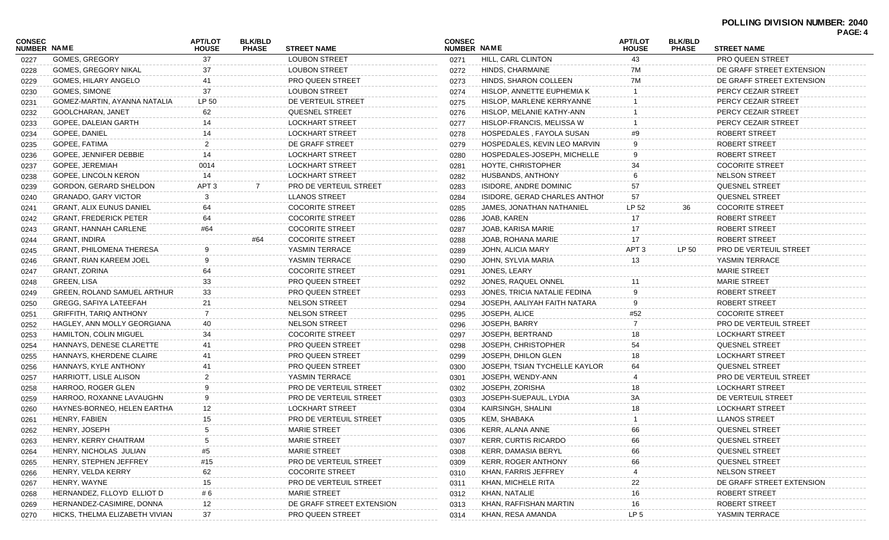| <b>PAGE:</b> |  |
|--------------|--|
|--------------|--|

| <b>CONSEC</b><br>NUMBER NAME |                                 | <b>APT/LOT</b><br><b>HOUSE</b> | <b>BLK/BLD</b><br><b>PHASE</b> | <b>STREET NAME</b>        | <b>CONSEC</b><br><b>NUMBER NAME</b> |                               | <b>APT/LOT</b><br><b>HOUSE</b> | <b>BLK/BLD</b><br><b>PHASE</b> | <b>STREET NAME</b>            |  |
|------------------------------|---------------------------------|--------------------------------|--------------------------------|---------------------------|-------------------------------------|-------------------------------|--------------------------------|--------------------------------|-------------------------------|--|
| 0227                         | <b>GOMES, GREGORY</b>           | 37                             |                                | <b>LOUBON STREET</b>      | 0271                                | HILL, CARL CLINTON            | 43                             |                                | PRO QUEEN STREET              |  |
| 0228                         | GOMES, GREGORY NIKAL            | 37                             |                                | <b>LOUBON STREET</b>      | 0272                                | HINDS, CHARMAINE              | 7M                             |                                | DE GRAFF STREET EXTENSION     |  |
| 0229                         | GOMES, HILARY ANGELO            | 41                             |                                | PRO QUEEN STREET          | 0273                                | HINDS, SHARON COLLEEN         | 7M                             |                                | DE GRAFF STREET EXTENSION     |  |
| 0230                         | GOMES, SIMONE                   | 37                             |                                | <b>LOUBON STREET</b>      | 0274                                | HISLOP, ANNETTE EUPHEMIA K    |                                |                                | PERCY CEZAIR STREET           |  |
| 0231                         | GOMEZ-MARTIN, AYANNA NATALIA    | LP 50                          |                                | DE VERTEUIL STREET        | 0275                                | HISLOP, MARLENE KERRYANNE     |                                |                                | PERCY CEZAIR STREET           |  |
| 0232                         | GOOLCHARAN, JANET               | 62                             |                                | QUESNEL STREET            | 0276                                | HISLOP, MELANIE KATHY-ANN     |                                |                                | PERCY CEZAIR STREET           |  |
| 0233                         | GOPEE, DALEIAN GARTH            |                                |                                | <b>LOCKHART STREET</b>    | 0277                                | HISLOP-FRANCIS, MELISSA W     |                                |                                | PERCY CEZAIR STREET           |  |
| 0234                         | GOPEE, DANIEL                   |                                |                                | <b>LOCKHART STREET</b>    | 0278                                | HOSPEDALES, FAYOLA SUSAN      | #9                             |                                | <b>ROBERT STREET</b>          |  |
| 0235                         | GOPEE, FATIMA                   |                                |                                | DE GRAFF STREET           | 0279                                | HOSPEDALES, KEVIN LEO MARVIN  |                                |                                | ROBERT STREET                 |  |
| 0236                         | GOPEE, JENNIFER DEBBIE          |                                |                                | <b>LOCKHART STREET</b>    | 0280                                | HOSPEDALES-JOSEPH, MICHELLE   | 9                              |                                | <b>ROBERT STREET</b>          |  |
| 0237                         | GOPEE, JEREMIAH                 | 0014                           |                                | <b>LOCKHART STREET</b>    | 0281                                | HOYTE, CHRISTOPHER            | 34                             |                                | <b>COCORITE STREET</b>        |  |
| 0238                         | GOPEE, LINCOLN KERON            | 14                             |                                | <b>LOCKHART STREET</b>    | 0282                                | HUSBANDS, ANTHONY             |                                |                                | <b>NELSON STREET</b>          |  |
| 0239                         | GORDON, GERARD SHELDON          | APT <sub>3</sub>               |                                | PRO DE VERTEUIL STREET    | 0283                                | ISIDORE, ANDRE DOMINIC        | 57                             |                                | QUESNEL STREET                |  |
| 0240                         | <b>GRANADO, GARY VICTOR</b>     |                                |                                | <b>LLANOS STREET</b>      | 0284                                | ISIDORE, GERAD CHARLES ANTHOL | 57                             |                                | QUESNEL STREET                |  |
| 0241                         | <b>GRANT, ALIX EUNUS DANIEL</b> |                                |                                | <b>COCORITE STREET</b>    | 0285                                | JAMES, JONATHAN NATHANIEL     | LP 52                          | 36                             | <b>COCORITE STREET</b>        |  |
| 0242                         | <b>GRANT, FREDERICK PETER</b>   | 64                             |                                | <b>COCORITE STREET</b>    | 0286                                | JOAB, KAREN                   | 17                             |                                | <b>ROBERT STREET</b>          |  |
| 0243                         | GRANT, HANNAH CARLENE           | #64                            |                                | <b>COCORITE STREET</b>    | 0287                                | JOAB, KARISA MARIE            | 17                             |                                | ROBERT STREET                 |  |
| 0244                         | <b>GRANT, INDIRA</b>            |                                | #64                            | <b>COCORITE STREET</b>    | 0288                                | JOAB, ROHANA MARIE            | 17                             |                                | ROBERT STREET                 |  |
| 0245                         | <b>GRANT, PHILOMENA THERESA</b> |                                |                                | YASMIN TERRACE            | 0289                                | JOHN, ALICIA MARY             | APT <sub>3</sub>               | LP 50                          | <b>PRO DE VERTEUIL STREET</b> |  |
| 0246                         | <b>GRANT, RIAN KAREEM JOEL</b>  |                                |                                | YASMIN TERRACE            | 0290                                | JOHN, SYLVIA MARIA            | 13                             |                                | YASMIN TERRACE                |  |
| 0247                         | GRANT, ZORINA                   |                                |                                | <b>COCORITE STREET</b>    | 0291                                | JONES, LEARY                  |                                |                                | <b>MARIE STREET</b>           |  |
| 0248                         | <b>GREEN, LISA</b>              | 33                             |                                | PRO QUEEN STREET          | 0292                                | JONES, RAQUEL ONNEL           |                                |                                | <b>MARIE STREET</b>           |  |
| 0249                         | GREEN, ROLAND SAMUEL ARTHUR     | 33                             |                                | PRO QUEEN STREET          | 0293                                | JONES, TRICIA NATALIE FEDINA  | 9                              |                                | ROBERT STREET                 |  |
| 0250                         | GREGG, SAFIYA LATEEFAH          | 21                             |                                | <b>NELSON STREET</b>      | 0294                                | JOSEPH, AALIYAH FAITH NATARA  | 9                              |                                | ROBERT STREET                 |  |
| 0251                         | <b>GRIFFITH, TARIQ ANTHONY</b>  |                                |                                | <b>NELSON STREET</b>      | 0295                                | JOSEPH, ALICE                 | #52                            |                                | <b>COCORITE STREET</b>        |  |
| 0252                         | HAGLEY, ANN MOLLY GEORGIANA     | 40                             |                                | <b>NELSON STREET</b>      | 0296                                | JOSEPH, BARRY                 |                                |                                | <b>PRO DE VERTEUIL STREET</b> |  |
| 0253                         | <b>HAMILTON, COLIN MIGUEL</b>   | 34                             |                                | <b>COCORITE STREET</b>    | 0297                                | JOSEPH, BERTRAND              | 18                             |                                | <b>LOCKHART STREET</b>        |  |
| 0254                         | HANNAYS, DENESE CLARETTE        | 41                             |                                | PRO QUEEN STREET          | 0298                                | JOSEPH, CHRISTOPHER           | 54                             |                                | QUESNEL STREET                |  |
| 0255                         | HANNAYS, KHERDENE CLAIRE        | 41                             |                                | PRO QUEEN STREET          | 0299                                | JOSEPH, DHILON GLEN           | 18                             |                                | <b>LOCKHART STREET</b>        |  |
| 0256                         | HANNAYS, KYLE ANTHONY           | 41                             |                                | PRO QUEEN STREET          | 0300                                | JOSEPH, TSIAN TYCHELLE KAYLOR | 64                             |                                | QUESNEL STREET                |  |
| 0257                         | <b>HARRIOTT, LISLE ALISON</b>   |                                |                                | YASMIN TERRACE            | 0301                                | JOSEPH, WENDY-ANN             |                                |                                | PRO DE VERTEUIL STREET        |  |
| 0258                         | HARROO, ROGER GLEN              |                                |                                | PRO DE VERTEUIL STREET    | 0302                                | JOSEPH, ZORISHA               | 18                             |                                | <b>LOCKHART STREET</b>        |  |
| 0259                         | HARROO, ROXANNE LAVAUGHN        |                                |                                | PRO DE VERTEUIL STREET    | 0303                                | JOSEPH-SUEPAUL, LYDIA         | 3A                             |                                | DE VERTEUIL STREET            |  |
| 0260                         | HAYNES-BORNEO, HELEN EARTHA     |                                |                                | <b>LOCKHART STREET</b>    | 0304                                | KAIRSINGH, SHALINI            |                                |                                | <b>LOCKHART STREET</b>        |  |
| 0261                         | HENRY, FABIEN                   |                                |                                | PRO DE VERTEUIL STREET    | 0305                                | KEM, SHABAKA                  |                                |                                | <b>LLANOS STREET</b>          |  |
| 0262                         | HENRY, JOSEPH                   |                                |                                | MARIE STREET              | 0306                                | KERR, ALANA ANNE              |                                |                                | QUESNEL STREET                |  |
| 0263                         | HENRY, KERRY CHAITRAM           |                                |                                | <b>MARIE STREET</b>       | 0307                                | <b>KERR, CURTIS RICARDO</b>   |                                |                                | QUESNEL STREET                |  |
| 0264                         | HENRY, NICHOLAS JULIAN          |                                |                                | <b>MARIE STREET</b>       | 0308                                | KERR, DAMASIA BERYL           |                                |                                | QUESNEL STREET                |  |
| 0265                         | HENRY, STEPHEN JEFFREY          | #15                            |                                | PRO DE VERTEUIL STREET    | 0309                                | <b>KERR, ROGER ANTHONY</b>    | 66                             |                                | QUESNEL STREET                |  |
| 0266                         | HENRY, VELDA KERRY              | 62                             |                                | <b>COCORITE STREET</b>    | 0310                                | KHAN, FARRIS JEFFREY          |                                |                                | <b>NELSON STREET</b>          |  |
| 0267                         | HENRY, WAYNE                    |                                |                                | PRO DE VERTEUIL STREET    | 0311                                | KHAN, MICHELE RITA            | 22                             |                                | DE GRAFF STREET EXTENSION     |  |
|                              | HERNANDEZ, FLLOYD ELLIOT D      | # 6                            |                                | <b>MARIE STREET</b>       |                                     | KHAN, NATALIE                 | 16                             |                                | ROBERT STREET                 |  |
| 0268                         | HERNANDEZ-CASIMIRE, DONNA       | 12                             |                                | DE GRAFF STREET EXTENSION | 0312<br>0313                        | KHAN, RAFFISHAN MARTIN        | 16                             |                                | ROBERT STREET                 |  |
| 0269                         | HICKS, THELMA ELIZABETH VIVIAN  | 37                             |                                | PRO QUEEN STREET          |                                     | KHAN, RESA AMANDA             | LP <sub>5</sub>                |                                | YASMIN TERRACE                |  |
| 0270                         |                                 |                                |                                |                           | 0314                                |                               |                                |                                |                               |  |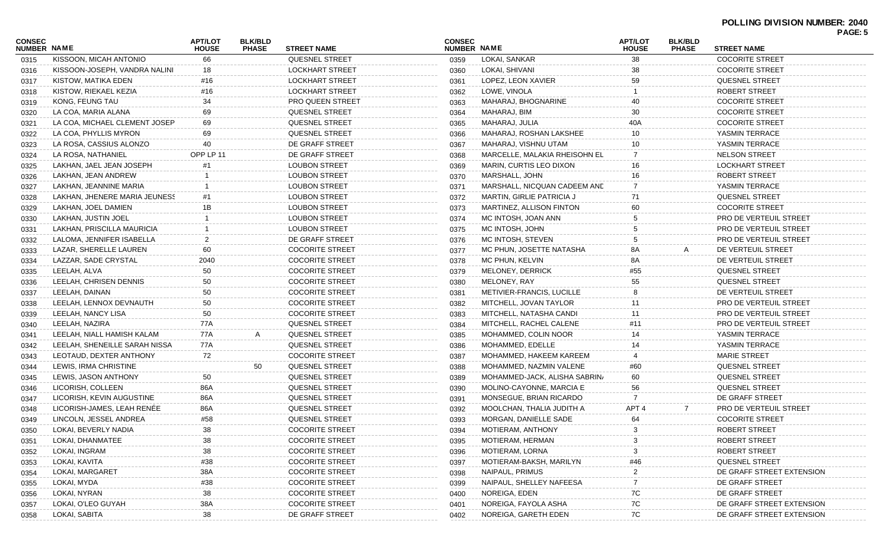| CONSEC<br><b>NUMBER NAME</b> |                               | <b>APT/LOT</b><br><b>HOUSE</b> | <b>BLK/BLD</b><br><b>PHASE</b> | <b>STREET NAME</b>      | <b>CONSEC</b><br>NUMBER NAME |                                | <b>APT/LOT</b><br><b>HOUSE</b> | <b>BLK/BLD</b><br><b>PHASE</b> | <b>STREET NAME</b>            |
|------------------------------|-------------------------------|--------------------------------|--------------------------------|-------------------------|------------------------------|--------------------------------|--------------------------------|--------------------------------|-------------------------------|
| 0315                         | KISSOON, MICAH ANTONIO        | 66                             |                                | <b>QUESNEL STREET</b>   | 0359                         | LOKAI, SANKAR                  | 38                             |                                | <b>COCORITE STREET</b>        |
| 0316                         | KISSOON-JOSEPH, VANDRA NALINI | 18                             |                                | <b>LOCKHART STREET</b>  | 0360                         | LOKAI, SHIVANI                 | 38                             |                                | <b>COCORITE STREET</b>        |
| 0317                         | KISTOW, MATIKA EDEN           | #16                            |                                | <b>LOCKHART STREET</b>  | 0361                         | LOPEZ, LEON XAVIER             | 59                             |                                | <b>QUESNEL STREET</b>         |
| 0318                         | KISTOW, RIEKAEL KEZIA         | #16                            |                                | <b>LOCKHART STREET</b>  | 0362                         | LOWE, VINOLA                   |                                |                                | <b>ROBERT STREET</b>          |
| 0319                         | KONG, FEUNG TAU               | 34                             |                                | <b>PRO QUEEN STREET</b> | 0363                         | MAHARAJ, BHOGNARINE            | 40                             |                                | <b>COCORITE STREET</b>        |
| 0320                         | LA COA, MARIA ALANA           | 69                             |                                | <b>QUESNEL STREET</b>   | 0364                         | MAHARAJ, BIM                   | 30                             |                                | <b>COCORITE STREET</b>        |
| 0321                         | LA COA. MICHAEL CLEMENT JOSEP | 69                             |                                | <b>QUESNEL STREET</b>   | 0365                         | MAHARAJ, JULIA                 | 40A                            |                                | <b>COCORITE STREET</b>        |
| 0322                         | LA COA. PHYLLIS MYRON         | 69                             |                                | <b>QUESNEL STREET</b>   | 0366                         | MAHARAJ, ROSHAN LAKSHEE        |                                |                                | YASMIN TERRACE                |
| 0323                         | LA ROSA, CASSIUS ALONZO       |                                |                                | DE GRAFF STREET         | 0367                         | MAHARAJ, VISHNU UTAM           | 10                             |                                | YASMIN TERRACE                |
| 0324                         | LA ROSA, NATHANIEL            | OPP LP 11                      |                                | DE GRAFF STREET         | 0368                         | MARCELLE, MALAKIA RHEISOHN EL  |                                |                                | <b>NELSON STREET</b>          |
| 0325                         | LAKHAN, JAEL JEAN JOSEPH      |                                |                                | <b>LOUBON STREET</b>    | 0369                         | <b>MARIN, CURTIS LEO DIXON</b> | 16.                            |                                | <b>LOCKHART STREET</b>        |
| 0326                         | LAKHAN, JEAN ANDREW           |                                |                                | <b>LOUBON STREET</b>    | 0370                         | MARSHALL, JOHN                 |                                |                                | ROBERT STREET                 |
| 0327                         | LAKHAN, JEANNINE MARIA        |                                |                                | <b>LOUBON STREET</b>    | 0371                         | MARSHALL, NICQUAN CADEEM AND   |                                |                                | YASMIN TERRACE                |
| 0328                         | LAKHAN, JHENERE MARIA JEUNESS | #1                             |                                | <b>LOUBON STREET</b>    | 0372                         | MARTIN, GIRLIE PATRICIA J      | 71                             |                                | <b>QUESNEL STREET</b>         |
| 0329                         | LAKHAN, JOEL DAMIEN           | 1Β                             |                                | <b>LOUBON STREET</b>    | 0373                         | MARTINEZ, ALLISON FINTON       | 60                             |                                | <b>COCORITE STREET</b>        |
| 0330                         | LAKHAN, JUSTIN JOEL           |                                |                                | <b>LOUBON STREET</b>    | 0374                         | MC INTOSH, JOAN ANN            |                                |                                | PRO DE VERTEUIL STREET        |
| 0331                         | LAKHAN, PRISCILLA MAURICIA    |                                |                                | <b>LOUBON STREET</b>    | 0375                         | MC INTOSH, JOHN                |                                |                                | <b>PRO DE VERTEUIL STREET</b> |
| 0332                         | LALOMA, JENNIFER ISABELLA     |                                |                                | DE GRAFF STREET         | 0376                         | MC INTOSH, STEVEN              |                                |                                | PRO DE VERTEUIL STREET        |
| 0333                         | LAZAR, SHERELLE LAUREN        | 60                             |                                | <b>COCORITE STREET</b>  | 0377                         | MC PHUN, JOSETTE NATASHA       | 8A                             | А                              | DE VERTEUIL STREET            |
| 0334                         | LAZZAR, SADE CRYSTAL          | 2040                           |                                | <b>COCORITE STREET</b>  | 0378                         | MC PHUN, KELVIN                | 8A                             |                                | DE VERTEUIL STREET            |
| 0335                         | LEELAH, ALVA                  | 50                             |                                | <b>COCORITE STREET</b>  | 0379                         | MELONEY, DERRICK               | #55                            |                                | <b>QUESNEL STREET</b>         |
| 0336                         | LEELAH, CHRISEN DENNIS        | 50                             |                                | <b>COCORITE STREET</b>  | 0380                         | MELONEY, RAY                   | 55                             |                                | <b>QUESNEL STREET</b>         |
| 0337                         | LEELAH, DAINAN                | 50                             |                                | <b>COCORITE STREET</b>  | 0381                         | METIVIER-FRANCIS, LUCILLE      |                                |                                | DE VERTEUIL STREET            |
| 0338                         | LEELAH, LENNOX DEVNAUTH       | 50                             |                                | <b>COCORITE STREET</b>  | 0382                         | MITCHELL, JOVAN TAYLOR         | -11                            |                                | PRO DE VERTEUIL STREET        |
| 0339                         | LEELAH, NANCY LISA            | 50                             |                                | <b>COCORITE STREET</b>  | 0383                         | MITCHELL, NATASHA CANDI        | 11                             |                                | PRO DE VERTEUIL STREET        |
| 0340                         | LEELAH, NAZIRA                | 77A                            |                                | <b>QUESNEL STREET</b>   | 0384                         | MITCHELL, RACHEL CALENE        | #11                            |                                | PRO DE VERTEUIL STREET        |
| 0341                         | LEELAH, NIALL HAMISH KALAM    | 77A                            |                                | <b>QUESNEL STREET</b>   | 0385                         | MOHAMMED, COLIN NOOR           |                                |                                | YASMIN TERRACE                |
| 0342                         | LEELAH, SHENEILLE SARAH NISSA | 77A                            |                                | <b>QUESNEL STREET</b>   | 0386                         | MOHAMMED, EDELLE               | 14                             |                                | YASMIN TERRACE                |
| 0343                         | LEOTAUD, DEXTER ANTHONY       | 72                             |                                | <b>COCORITE STREET</b>  | 0387                         | MOHAMMED, HAKEEM KAREEM        |                                |                                | <b>MARIE STREET</b>           |
| 0344                         | LEWIS, IRMA CHRISTINE         |                                | 50                             | <b>QUESNEL STREET</b>   | 0388                         | MOHAMMED, NAZMIN VALENE        | #60                            |                                | <b>QUESNEL STREET</b>         |
| 0345                         | LEWIS, JASON ANTHONY          | 50                             |                                | <b>QUESNEL STREET</b>   | 0389                         | MOHAMMED-JACK, ALISHA SABRIN/  | 60                             |                                | <b>QUESNEL STREET</b>         |
| 0346                         | LICORISH, COLLEEN             | 86A                            |                                | <b>QUESNEL STREET</b>   | 0390                         | MOLINO-CAYONNE, MARCIA E       | 56                             |                                | <b>QUESNEL STREET</b>         |
| 0347                         | LICORISH, KEVIN AUGUSTINE     | 86A                            |                                | <b>QUESNEL STREET</b>   | 0391                         | MONSEGUE, BRIAN RICARDO        |                                |                                | DE GRAFF STREET               |
| 0348                         | LICORISH-JAMES, LEAH RENÉE    | 86A                            |                                | QUESNEL STREET          | 0392                         | MOOLCHAN, THALIA JUDITH A      | APT <sub>4</sub>               | $\overline{7}$                 | PRO DE VERTEUIL STREET        |
| 0349                         | LINCOLN, JESSEL ANDREA        | #58                            |                                | <b>QUESNEL STREET</b>   | 0393                         | MORGAN, DANIELLE SADE          | 64                             |                                | <b>COCORITE STREET</b>        |
| 0350                         | LOKAI, BEVERLY NADIA          | 38                             |                                | <b>COCORITE STREET</b>  | 0394                         | MOTIERAM, ANTHONY              |                                |                                | ROBERT STREET                 |
| 0351                         | LOKAI, DHANMATEE              | 38                             |                                | <b>COCORITE STREET</b>  | 0395                         | MOTIERAM, HERMAN               |                                |                                | ROBERT STREET                 |
| 0352                         | LOKAI, INGRAM                 | 38                             |                                | <b>COCORITE STREET</b>  | 0396                         | MOTIERAM, LORNA                |                                |                                | ROBERT STREET                 |
| 0353                         | LOKAI, KAVITA                 | #38                            |                                | <b>COCORITE STREET</b>  | 0397                         | MOTIERAM-BAKSH, MARILYN        | #46                            |                                | QUESNEL STREET                |
| 0354                         | LOKAI, MARGARET               | 38A                            |                                | <b>COCORITE STREET</b>  | 0398                         | NAIPAUL, PRIMUS                |                                |                                | DE GRAFF STREET EXTENSION     |
| 0355                         | LOKAI, MYDA                   | #38                            |                                | <b>COCORITE STREET</b>  | 0399                         | NAIPAUL, SHELLEY NAFEESA       |                                |                                | DE GRAFF STREET               |
| 0356                         | LOKAI, NYRAN                  | 38                             |                                | <b>COCORITE STREET</b>  | 0400                         | NOREIGA, EDEN                  | 7C                             |                                | DE GRAFF STREET               |
| 0357                         | LOKAI, O'LEO GUYAH            | 38A                            |                                | <b>COCORITE STREET</b>  | 0401                         | NOREIGA, FAYOLA ASHA           | 7C                             |                                | DE GRAFF STREET EXTENSION     |
| 0358                         | LOKAI, SABITA                 | 38                             |                                | DE GRAFF STREET         | 0402                         | NOREIGA, GARETH EDEN           | 7C                             |                                | DE GRAFF STREET EXTENSION     |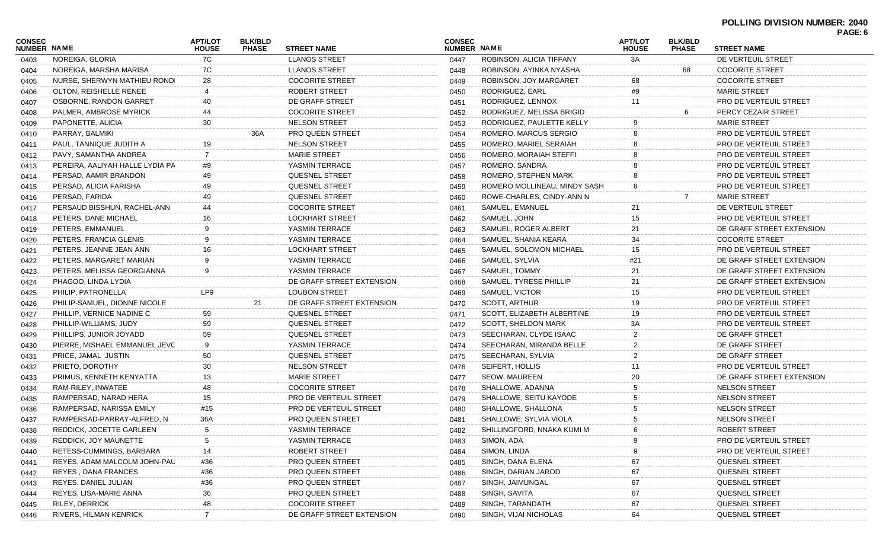| <b>CONSEC</b><br>NUMBER NAME |                                 | <b>APT/LOT</b><br><b>HOUSE</b> | <b>BLK/BLD</b><br><b>PHASE</b> | <b>STREET NAME</b>            | <b>CONSEC</b> | <b>NUMBER NAME</b>           |     | <b>BLK/BLD</b><br><b>PHASE</b> | <b>STREET NAME</b>            | PAGE: 6 |
|------------------------------|---------------------------------|--------------------------------|--------------------------------|-------------------------------|---------------|------------------------------|-----|--------------------------------|-------------------------------|---------|
| 0403                         | NOREIGA, GLORIA                 | 7C                             |                                | <b>LLANOS STREET</b>          | 0447          | ROBINSON, ALICIA TIFFANY     | 3A  |                                | DE VERTEUIL STREET            |         |
| 0404                         | NOREIGA, MARSHA MARISA          | 7C                             |                                | <b>LLANOS STREET</b>          | 0448          | ROBINSON, AYINKA NYASHA      |     | 68                             | <b>COCORITE STREET</b>        |         |
| 0405                         | NURSE, SHERWYN MATHIEU RONDI    | 28                             |                                | <b>COCORITE STREET</b>        | 0449          | ROBINSON, JOY MARGARET       | 68  |                                | <b>COCORITE STREET</b>        |         |
| 0406                         | OLTON, REISHELLE RENEE          |                                |                                | ROBERT STREET                 | 0450          | RODRIGUEZ, EARL              | #9  |                                | <b>MARIE STREET</b>           |         |
| 0407                         | OSBORNE, RANDON GARRET          | 40                             |                                | DE GRAFF STREET               | 0451          | RODRIGUEZ, LENNOX            | 11  |                                | PRO DE VERTEUIL STREET        |         |
| 0408                         | PALMER, AMBROSE MYRICK          | 44                             |                                | <b>COCORITE STREET</b>        | 0452          | RODRIGUEZ, MELISSA BRIGID    |     |                                | PERCY CEZAIR STREET           |         |
| 0409                         | PAPONETTE, ALICIA               | 30                             |                                | <b>NELSON STREET</b>          | 0453          | RODRIGUEZ, PAULETTE KELLY    |     |                                | <b>MARIE STREET</b>           |         |
| 0410                         | PARRAY, BALMIKI                 |                                | 36A                            | <b>PRO QUEEN STREET</b>       | 0454          | ROMERO, MARCUS SERGIO        |     |                                | PRO DE VERTEUIL STREET        |         |
| 0411                         | PAUL, TANNIQUE JUDITH A         | 19                             |                                | <b>NELSON STREET</b>          | 0455          | ROMERO, MARIEL SERAIAH       |     |                                | PRO DE VERTEUIL STREET        |         |
| 0412                         | PAVY, SAMANTHA ANDREA           | 7                              |                                | <b>MARIE STREET</b>           | 0456          | ROMERO, MORAIAH STEFFI       |     |                                | PRO DE VERTEUIL STREET        |         |
| 0413                         | PEREIRA, AALIYAH HALLE LYDIA PA | #9                             |                                | YASMIN TERRACE                | 0457          | ROMERO, SANDRA               |     |                                | PRO DE VERTEUIL STREET        |         |
| 0414                         | PERSAD, AAMIR BRANDON           | 49                             |                                | <b>QUESNEL STREET</b>         | 0458          | ROMERO, STEPHEN MARK         |     |                                | PRO DE VERTEUIL STREET        |         |
| 0415                         | PERSAD, ALICIA FARISHA          | 49                             |                                | QUESNEL STREET                | 0459          | ROMERO MOLLINEAU, MINDY SASH |     |                                | PRO DE VERTEUIL STREET        |         |
| 0416                         | PERSAD, FARIDA                  | 49                             |                                | <b>QUESNEL STREET</b>         | 0460          | ROWE-CHARLES, CINDY-ANN N    |     |                                | <b>MARIE STREET</b>           |         |
| 0417                         | PERSAUD BISSHUN, RACHEL-ANN     | 44                             |                                | <b>COCORITE STREET</b>        | 0461          | SAMUEL, EMANUEL              | 21  |                                | DE VERTEUIL STREET            |         |
| 0418                         | PETERS. DANE MICHAEL            | 16                             |                                | <b>LOCKHART STREET</b>        | 0462          | SAMUEL, JOHN                 | 15  |                                | <b>PRO DE VERTEUIL STREET</b> |         |
| 0419                         | PETERS, EMMANUEL                | 9                              |                                | YASMIN TERRACE                | 0463          | SAMUEL, ROGER ALBERT         | 21  |                                | DE GRAFF STREET EXTENSION     |         |
| 0420                         | PETERS, FRANCIA GLENIS          | 9                              |                                | YASMIN TERRACE                | 0464          | SAMUEL, SHANIA KEARA         | 34  |                                | <b>COCORITE STREET</b>        |         |
| 0421                         | PETERS, JEANNE JEAN ANN         | 16                             |                                | <b>LOCKHART STREET</b>        | 0465          | SAMUEL, SOLOMON MICHAEL      | 15  |                                | PRO DE VERTEUIL STREET        |         |
| 0422                         | PETERS, MARGARET MARIAN         | 9                              |                                | YASMIN TERRACE                | 0466          | SAMUEL, SYLVIA               | #21 |                                | DE GRAFF STREET EXTENSION     |         |
| 0423                         | PETERS, MELISSA GEORGIANNA      | 9                              |                                | YASMIN TERRACE                | 0467          | SAMUEL, TOMMY                | 21  |                                | DE GRAFF STREET EXTENSION     |         |
| 0424                         | PHAGOO, LINDA LYDIA             |                                |                                | DE GRAFF STREET EXTENSION     | 0468          | SAMUEL, TYRESE PHILLIP       | 21  |                                | DE GRAFF STREET EXTENSION     |         |
| 0425                         | PHILIP, PATRONELLA              | LP9                            |                                | <b>LOUBON STREET</b>          | 0469          | SAMUEL, VICTOR               | 15  |                                | PRO DE VERTEUIL STREET        |         |
| 0426                         | PHILIP-SAMUEL, DIONNE NICOLE    |                                | 21                             | DE GRAFF STREET EXTENSION     | 0470          | SCOTT, ARTHUR                | 19  |                                | PRO DE VERTEUIL STREET        |         |
| 0427                         | PHILLIP, VERNICE NADINE C       | 59                             |                                | <b>QUESNEL STREET</b>         | 0471          | SCOTT, ELIZABETH ALBERTINE   | 19  |                                | PRO DE VERTEUIL STREET        |         |
| 0428                         | PHILLIP-WILLIAMS, JUDY          | 59                             |                                | QUESNEL STREET                | 0472          | <b>SCOTT, SHELDON MARK</b>   | ЗA  |                                | PRO DE VERTEUIL STREET        |         |
| 0429                         | PHILLIPS, JUNIOR JOYADD         | 59                             |                                | <b>QUESNEL STREET</b>         | 0473          | SEECHARAN, CLYDE ISAAC       |     |                                | DE GRAFF STREET               |         |
| 0430                         | PIERRE, MISHAEL EMMANUEL JEVC   | 9                              |                                | YASMIN TERRACE                | 0474          | SEECHARAN, MIRANDA BELLE     | 2   |                                | DE GRAFF STREET               |         |
| 0431                         | PRICE, JAMAL JUSTIN             | 50                             |                                | <b>QUESNEL STREET</b>         | 0475          | SEECHARAN, SYLVIA            |     |                                | DE GRAFF STREET               |         |
| 0432                         | PRIETO, DOROTHY                 | 30                             |                                | <b>NELSON STREET</b>          | 0476          | SEIFERT, HOLLIS              |     |                                | <b>PRO DE VERTEUIL STREET</b> |         |
| 0433                         | PRIMUS, KENNETH KENYATTA        | 13                             |                                | <b>MARIE STREET</b>           | 0477          | SEOW, MAUREEN                | 20  |                                | DE GRAFF STREET EXTENSION     |         |
| 0434                         | RAM-RILEY, INWATEE              | 48                             |                                | <b>COCORITE STREET</b>        | 0478          | SHALLOWE, ADANNA             |     |                                | <b>NELSON STREET</b>          |         |
| 0435                         | RAMPERSAD, NARAD HERA           | 15                             |                                | <b>PRO DE VERTEUIL STREET</b> | 0479          | SHALLOWE, SEITU KAYODE       |     |                                | <b>NELSON STREET</b>          |         |
| 0436                         | RAMPERSAD, NARISSA EMILY        | #15                            |                                | <b>PRO DE VERTEUIL STREET</b> | 0480          | SHALLOWE, SHALLONA           |     |                                | <b>NELSON STREET</b>          |         |
| 0437                         | RAMPERSAD-PARRAY-ALFRED, N      | 36A                            |                                | PRO QUEEN STREET              | 0481          | SHALLOWE, SYLVIA VIOLA       | 5   |                                | <b>NELSON STREET</b>          |         |
| 0438                         | REDDICK, JOCETTE GARLEEN        | 5                              |                                | YASMIN TERRACE                | 0482          | SHILLINGFORD, NNAKA KUMI M   | 6   |                                | ROBERT STREET                 |         |
| 0439                         | REDDICK, JOY MAUNETTE           |                                |                                | YASMIN TERRACE                | 0483          | SIMON, ADA                   |     |                                | PRO DE VERTEUIL STREET        |         |
| 0440                         | RETESS-CUMMINGS, BARBARA        | 14                             |                                | ROBERT STREET                 | 0484          | SIMON, LINDA                 |     |                                | PRO DE VERTEUIL STREET        |         |
| 0441                         | REYES, ADAM MALCOLM JOHN-PAU    | #36                            |                                | PRO QUEEN STREET              | 0485          | SINGH, DANA ELENA            |     |                                | QUESNEL STREET                |         |
| 0442                         | <b>REYES, DANA FRANCES</b>      | #36                            |                                | PRO QUEEN STREET              | 0486          | SINGH, DARIAN JAROD          | 67  |                                | QUESNEL STREET                |         |
| 0443                         | REYES, DANIEL JULIAN            | #36                            |                                | PRO QUEEN STREET              | 0487          | SINGH, JAIMUNGAL             | 67  |                                | QUESNEL STREET                |         |
| 0444                         | REYES, LISA-MARIE ANNA          | 36                             |                                | PRO QUEEN STREET              | 0488          | SINGH, SAVITA                | 67  |                                | <b>QUESNEL STREET</b>         |         |
| 0445                         | <b>RILEY, DERRICK</b>           | 48                             |                                | <b>COCORITE STREET</b>        | 0489          | SINGH, TARANDATH             |     |                                | QUESNEL STREET                |         |
| 0446                         | <b>RIVERS, HILMAN KENRICK</b>   |                                |                                | DE GRAFF STREET EXTENSION     | 0490          | SINGH, VIJAI NICHOLAS        | 64  |                                | QUESNEL STREET                |         |
|                              |                                 |                                |                                |                               |               |                              |     |                                |                               |         |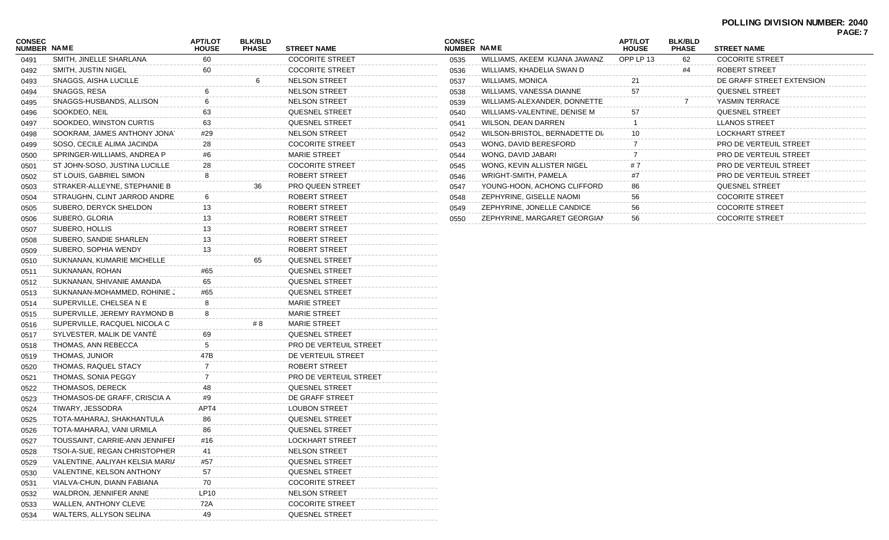#### **POLLING DIVISION NUMBER: 2040 PAGE: 7**

| <b>CONSEC</b><br><b>NUMBER NAME</b> |                                 | <b>APT/LOT</b><br><b>HOUSE</b> | <b>BLK/BLD</b><br><b>PHASE</b> | <b>STREET NAME</b>     |
|-------------------------------------|---------------------------------|--------------------------------|--------------------------------|------------------------|
| 0491                                | SMITH, JINELLE SHARLANA         | 60                             |                                | <b>COCORITE STREET</b> |
| 0492                                | SMITH, JUSTIN NIGEL             | 60                             |                                | <b>COCORITE STREET</b> |
| 0493                                | SNAGGS, AISHA LUCILLE           |                                | 6                              | <b>NELSON STREET</b>   |
| 0494                                | SNAGGS, RESA                    | 6                              |                                | <b>NELSON STREET</b>   |
| 0495                                | SNAGGS-HUSBANDS, ALLISON        | 6                              |                                | <b>NELSON STREET</b>   |
| 0496                                | SOOKDEO, NEIL                   | 63                             |                                | QUESNEL STREET         |
| 0497                                | SOOKDEO, WINSTON CURTIS         | 63                             |                                | <b>QUESNEL STREET</b>  |
| 0498                                | SOOKRAM, JAMES ANTHONY JONAT    | #29                            |                                | <b>NELSON STREET</b>   |
| 0499                                | SOSO, CECILE ALIMA JACINDA      | 28                             |                                | <b>COCORITE STREET</b> |
| 0500                                | SPRINGER-WILLIAMS, ANDREA P     | #6                             |                                | <b>MARIE STREET</b>    |
| 0501                                | ST JOHN-SOSO, JUSTINA LUCILLE   | 28                             |                                | <b>COCORITE STREET</b> |
| 0502                                | ST LOUIS, GABRIEL SIMON         | 8                              |                                | ROBERT STREET          |
| 0503                                | STRAKER-ALLEYNE, STEPHANIE B    |                                | 36                             | PRO QUEEN STREET       |
| 0504                                | STRAUGHN, CLINT JARROD ANDRE    | 6                              |                                | ROBERT STREET          |
| 0505                                | SUBERO, DERYCK SHELDON          | 13                             |                                | ROBERT STREET          |
| 0506                                | SUBERO, GLORIA                  | 13                             |                                | ROBERT STREET          |
| 0507                                | SUBERO, HOLLIS                  | 13                             |                                | ROBERT STREET          |
| 0508                                | SUBERO, SANDIE SHARLEN          | 13                             |                                | ROBERT STREET          |
| 0509                                | SUBERO, SOPHIA WENDY            | 13                             |                                | ROBERT STREET          |
| 0510                                | SUKNANAN, KUMARIE MICHELLE      |                                | 65                             | QUESNEL STREET         |
| 0511                                | SUKNANAN, ROHAN                 | #65                            |                                | <b>QUESNEL STREET</b>  |
| 0512                                | SUKNANAN, SHIVANIE AMANDA       | 65                             |                                | QUESNEL STREET         |
| 0513                                | SUKNANAN-MOHAMMED, ROHINIE J    | #65                            |                                | QUESNEL STREET         |
| 0514                                | SUPERVILLE, CHELSEA N E         | 8                              |                                | <b>MARIE STREET</b>    |
| 0515                                | SUPERVILLE, JEREMY RAYMOND B    | 8                              |                                | <b>MARIE STREET</b>    |
| 0516                                | SUPERVILLE, RACQUEL NICOLA C    |                                | # 8                            | <b>MARIE STREET</b>    |
| 0517                                | SYLVESTER, MALIK DE VANTE       | 69                             |                                | QUESNEL STREET         |
| 0518                                | THOMAS, ANN REBECCA             | 5                              |                                | PRO DE VERTEUIL STREET |
| 0519                                | THOMAS, JUNIOR                  | 47B                            |                                | DE VERTEUIL STREET     |
| 0520                                | THOMAS, RAQUEL STACY            | $\overline{7}$                 |                                | ROBERT STREET          |
| 0521                                | THOMAS, SONIA PEGGY             | $\overline{7}$                 |                                | PRO DE VERTEUIL STREET |
| 0522                                | THOMASOS, DERECK                | 48                             |                                | QUESNEL STREET         |
| 0523                                | THOMASOS-DE GRAFF, CRISCIA A    | #9                             |                                | DE GRAFF STREET        |
| 0524                                | TIWARY, JESSODRA                | APT4                           |                                | <b>LOUBON STREET</b>   |
| 0525                                | TOTA-MAHARAJ, SHAKHANTULA       | 86                             |                                | QUESNEL STREET         |
| 0526                                | TOTA-MAHARAJ, VANI URMILA       | 86                             |                                | QUESNEL STREET         |
| 0527                                | TOUSSAINT, CARRIE-ANN JENNIFEF  | #16                            |                                | LOCKHART STREET        |
| 0528                                | TSOI-A-SUE, REGAN CHRISTOPHER   | 41                             |                                | <b>NELSON STREET</b>   |
| 0529                                | VALENTINE, AALIYAH KELSIA MARIA | #57                            |                                | QUESNEL STREET         |
| 0530                                | VALENTINE, KELSON ANTHONY       | 57                             |                                | QUESNEL STREET         |
| 0531                                | VIALVA-CHUN, DIANN FABIANA      | 70                             |                                | <b>COCORITE STREET</b> |
| 0532                                | WALDRON, JENNIFER ANNE          | LP10                           |                                | <b>NELSON STREET</b>   |
| 0533                                | <b>WALLEN, ANTHONY CLEVE</b>    | 72A                            |                                | <b>COCORITE STREET</b> |
| 0534                                | WALTERS, ALLYSON SELINA         | 49                             |                                | QUESNEL STREET         |

| <b>CONSEC</b><br><b>NUMBER</b> | <b>NAME</b>                   | <b>APT/LOT</b><br><b>HOUSE</b> | <b>BLK/BLD</b><br><b>PHASE</b> | <b>STREET NAME</b>            |
|--------------------------------|-------------------------------|--------------------------------|--------------------------------|-------------------------------|
| 0535                           | WILLIAMS, AKEEM KIJANA JAWANZ | OPP LP 13                      | 62                             | <b>COCORITE STREET</b>        |
| 0536                           | WILLIAMS, KHADELIA SWAN D     |                                | #4                             | ROBERT STREET                 |
| 0537                           | WILLIAMS, MONICA              | 21                             |                                | DE GRAFF STREET EXTENSION     |
| 0538                           | WILLIAMS, VANESSA DIANNE      | 57                             |                                | <b>QUESNEL STREET</b>         |
| 0539                           | WILLIAMS-ALEXANDER, DONNETTE  |                                | 7                              | YASMIN TERRACE                |
| 0540                           | WILLIAMS-VALENTINE, DENISE M  | 57                             |                                | <b>QUESNEL STREET</b>         |
| 0541                           | <b>WILSON, DEAN DARREN</b>    |                                |                                | <b>LLANOS STREET</b>          |
| 0542                           | WILSON-BRISTOL, BERNADETTE DI | 10                             |                                | <b>LOCKHART STREET</b>        |
| 0543                           | WONG, DAVID BERESFORD         | 7                              |                                | <b>PRO DE VERTEUIL STREET</b> |
| 0544                           | WONG, DAVID JABARI            | 7                              |                                | PRO DE VERTEUIL STREET        |
| 0545                           | WONG, KEVIN ALLISTER NIGEL    | #7                             |                                | PRO DE VERTEUIL STREET        |
| 0546                           | WRIGHT-SMITH, PAMELA          | #7                             |                                | PRO DE VERTEUIL STREET        |
| 0547                           | YOUNG-HOON, ACHONG CLIFFORD   | 86                             |                                | <b>QUESNEL STREET</b>         |
| 0548                           | ZEPHYRINE, GISELLE NAOMI      | 56                             |                                | <b>COCORITE STREET</b>        |
| 0549                           | ZEPHYRINE, JONELLE CANDICE    | 56                             |                                | <b>COCORITE STREET</b>        |
| 0550                           | ZEPHYRINE, MARGARET GEORGIAN  | 56                             |                                | <b>COCORITE STREET</b>        |